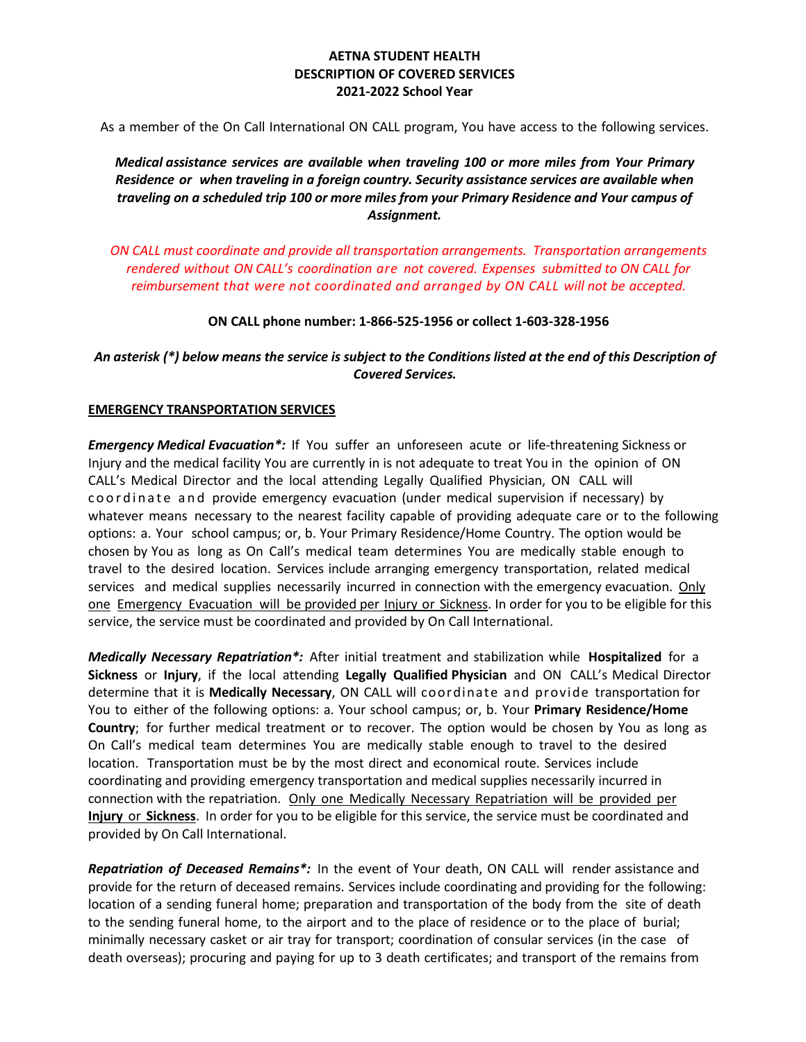## **AETNA STUDENT HEALTH DESCRIPTION OF COVERED SERVICES 2021-2022 School Year**

As a member of the On Call International ON CALL program, You have access to the following services.

*Medical assistance services are available when traveling 100 or more miles from Your Primary Residence or when traveling in a foreign country. Security assistance services are available when traveling on a scheduled trip 100 or more miles from your Primary Residence and Your campus of Assignment.*

*ON CALL must coordinate and provide all transportation arrangements. Transportation arrangements rendered without ON CALL's coordination are not covered. Expenses submitted to ON CALL for reimbursement that were not coordinated and arranged by ON CALL will not be accepted.*

**ON CALL phone number: 1-866-525-1956 or collect 1-603-328-1956**

## *An asterisk (\*) below means the service is subject to the Conditions listed at the end of this Description of Covered Services.*

#### **EMERGENCY TRANSPORTATION SERVICES**

*Emergency Medical Evacuation\*:* If You suffer an unforeseen acute or life-threatening Sickness or Injury and the medical facility You are currently in is not adequate to treat You in the opinion of ON CALL's Medical Director and the local attending Legally Qualified Physician, ON CALL will coordinate and provide emergency evacuation (under medical supervision if necessary) by whatever means necessary to the nearest facility capable of providing adequate care or to the following options: a. Your school campus; or, b. Your Primary Residence/Home Country. The option would be chosen by You as long as On Call's medical team determines You are medically stable enough to travel to the desired location. Services include arranging emergency transportation, related medical services and medical supplies necessarily incurred in connection with the emergency evacuation. Only one Emergency Evacuation will be provided per *Injury or Sickness*. In order for you to be eligible for this service, the service must be coordinated and provided by On Call International.

*Medically Necessary Repatriation\*:* After initial treatment and stabilization while **Hospitalized** for a **Sickness** or **Injury**, if the local attending **Legally Qualified Physician** and ON CALL's Medical Director determine that it is **Medically Necessary**, ON CALL will coordinate and provide transportation for You to either of the following options: a. Your school campus; or, b. Your **Primary Residence/Home Country**; for further medical treatment or to recover. The option would be chosen by You as long as On Call's medical team determines You are medically stable enough to travel to the desired location. Transportation must be by the most direct and economical route. Services include coordinating and providing emergency transportation and medical supplies necessarily incurred in connection with the repatriation. Only one Medically Necessary Repatriation will be provided per **Injury** or **Sickness**. In order for you to be eligible for this service, the service must be coordinated and provided by On Call International.

*Repatriation of Deceased Remains\*:* In the event of Your death, ON CALL will render assistance and provide for the return of deceased remains. Services include coordinating and providing for the following: location of a sending funeral home; preparation and transportation of the body from the site of death to the sending funeral home, to the airport and to the place of residence or to the place of burial; minimally necessary casket or air tray for transport; coordination of consular services (in the case of death overseas); procuring and paying for up to 3 death certificates; and transport of the remains from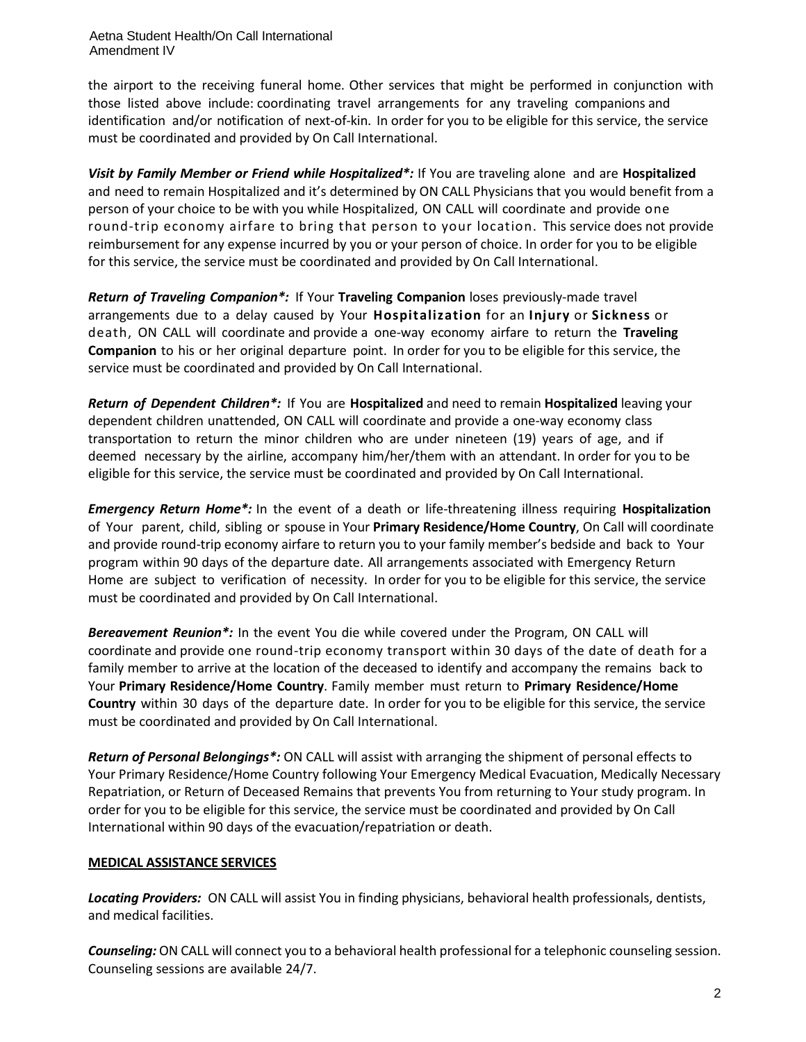Aetna Student Health/On Call International Amendment IV

the airport to the receiving funeral home. Other services that might be performed in conjunction with those listed above include: coordinating travel arrangements for any traveling companions and identification and/or notification of next-of-kin. In order for you to be eligible for this service, the service must be coordinated and provided by On Call International.

*Visit by Family Member or Friend while Hospitalized\*:* If You are traveling alone and are **Hospitalized**  and need to remain Hospitalized and it's determined by ON CALL Physicians that you would benefit from a person of your choice to be with you while Hospitalized, ON CALL will coordinate and provide one round-trip economy airfare to bring that person to your location. This service does not provide reimbursement for any expense incurred by you or your person of choice. In order for you to be eligible for this service, the service must be coordinated and provided by On Call International.

*Return of Traveling Companion\*:* If Your **Traveling Companion** loses previously-made travel arrangements due to a delay caused by Your **Hospitalization** for an **Injury** or **Sickness** or death, ON CALL will coordinate and provide a one-way economy airfare to return the **Traveling Companion** to his or her original departure point. In order for you to be eligible for this service, the service must be coordinated and provided by On Call International.

*Return of Dependent Children\*:* If You are **Hospitalized** and need to remain **Hospitalized** leaving your dependent children unattended, ON CALL will coordinate and provide a one-way economy class transportation to return the minor children who are under nineteen (19) years of age, and if deemed necessary by the airline, accompany him/her/them with an attendant. In order for you to be eligible for this service, the service must be coordinated and provided by On Call International.

*Emergency Return Home\*:* In the event of a death or life-threatening illness requiring **Hospitalization** of Your parent, child, sibling or spouse in Your **Primary Residence/Home Country**, On Call will coordinate and provide round-trip economy airfare to return you to your family member's bedside and back to Your program within 90 days of the departure date. All arrangements associated with Emergency Return Home are subject to verification of necessity. In order for you to be eligible for this service, the service must be coordinated and provided by On Call International.

*Bereavement Reunion\*:* In the event You die while covered under the Program, ON CALL will coordinate and provide one round-trip economy transport within 30 days of the date of death for a family member to arrive at the location of the deceased to identify and accompany the remains back to Your **Primary Residence/Home Country**. Family member must return to **Primary Residence/Home Country** within 30 days of the departure date. In order for you to be eligible for this service, the service must be coordinated and provided by On Call International.

*Return of Personal Belongings\*:* ON CALL will assist with arranging the shipment of personal effects to Your Primary Residence/Home Country following Your Emergency Medical Evacuation, Medically Necessary Repatriation, or Return of Deceased Remains that prevents You from returning to Your study program. In order for you to be eligible for this service, the service must be coordinated and provided by On Call International within 90 days of the evacuation/repatriation or death.

## **MEDICAL ASSISTANCE SERVICES**

*Locating Providers:* ON CALL will assist You in finding physicians, behavioral health professionals, dentists, and medical facilities.

*Counseling:* ON CALL will connect you to a behavioral health professional for a telephonic counseling session. Counseling sessions are available 24/7.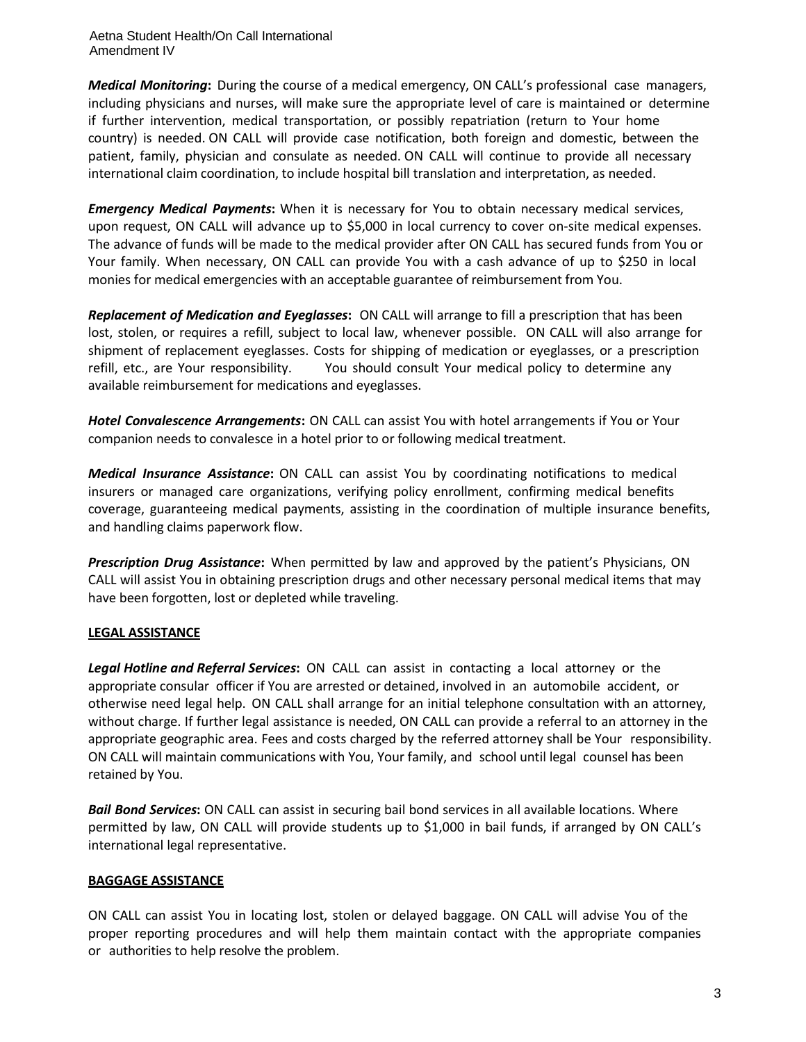Aetna Student Health/On Call International Amendment IV

*Medical Monitoring***:** During the course of a medical emergency, ON CALL's professional case managers, including physicians and nurses, will make sure the appropriate level of care is maintained or determine if further intervention, medical transportation, or possibly repatriation (return to Your home country) is needed. ON CALL will provide case notification, both foreign and domestic, between the patient, family, physician and consulate as needed. ON CALL will continue to provide all necessary international claim coordination, to include hospital bill translation and interpretation, as needed.

*Emergency Medical Payments***:** When it is necessary for You to obtain necessary medical services, upon request, ON CALL will advance up to \$5,000 in local currency to cover on-site medical expenses. The advance of funds will be made to the medical provider after ON CALL has secured funds from You or Your family. When necessary, ON CALL can provide You with a cash advance of up to \$250 in local monies for medical emergencies with an acceptable guarantee of reimbursement from You.

*Replacement of Medication and Eyeglasses***:** ON CALL will arrange to fill a prescription that has been lost, stolen, or requires a refill, subject to local law, whenever possible. ON CALL will also arrange for shipment of replacement eyeglasses. Costs for shipping of medication or eyeglasses, or a prescription refill, etc., are Your responsibility. You should consult Your medical policy to determine any available reimbursement for medications and eyeglasses.

*Hotel Convalescence Arrangements***:** ON CALL can assist You with hotel arrangements if You or Your companion needs to convalesce in a hotel prior to or following medical treatment.

*Medical Insurance Assistance***:** ON CALL can assist You by coordinating notifications to medical insurers or managed care organizations, verifying policy enrollment, confirming medical benefits coverage, guaranteeing medical payments, assisting in the coordination of multiple insurance benefits, and handling claims paperwork flow.

*Prescription Drug Assistance***:** When permitted by law and approved by the patient's Physicians, ON CALL will assist You in obtaining prescription drugs and other necessary personal medical items that may have been forgotten, lost or depleted while traveling.

# **LEGAL ASSISTANCE**

*Legal Hotline and Referral Services***:** ON CALL can assist in contacting a local attorney or the appropriate consular officer if You are arrested or detained, involved in an automobile accident, or otherwise need legal help. ON CALL shall arrange for an initial telephone consultation with an attorney, without charge. If further legal assistance is needed, ON CALL can provide a referral to an attorney in the appropriate geographic area. Fees and costs charged by the referred attorney shall be Your responsibility. ON CALL will maintain communications with You, Your family, and school until legal counsel has been retained by You.

*Bail Bond Services***:** ON CALL can assist in securing bail bond services in all available locations. Where permitted by law, ON CALL will provide students up to \$1,000 in bail funds, if arranged by ON CALL's international legal representative.

## **BAGGAGE ASSISTANCE**

ON CALL can assist You in locating lost, stolen or delayed baggage. ON CALL will advise You of the proper reporting procedures and will help them maintain contact with the appropriate companies or authorities to help resolve the problem.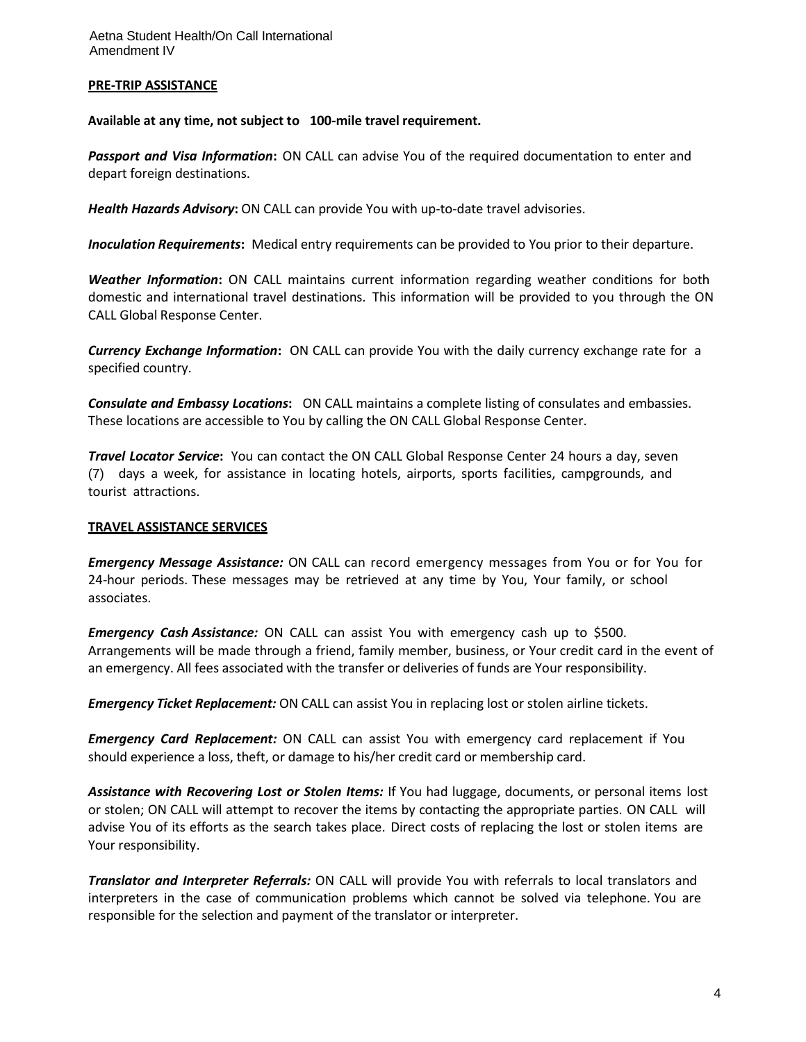### **PRE-TRIP ASSISTANCE**

**Available at any time, not subject to 100-mile travel requirement.**

*Passport and Visa Information***:** ON CALL can advise You of the required documentation to enter and depart foreign destinations.

*Health Hazards Advisory***:** ON CALL can provide You with up-to-date travel advisories.

*Inoculation Requirements***:** Medical entry requirements can be provided to You prior to their departure.

*Weather Information***:** ON CALL maintains current information regarding weather conditions for both domestic and international travel destinations. This information will be provided to you through the ON CALL Global Response Center.

*Currency Exchange Information***:** ON CALL can provide You with the daily currency exchange rate for a specified country.

*Consulate and Embassy Locations***:** ON CALL maintains a complete listing of consulates and embassies. These locations are accessible to You by calling the ON CALL Global Response Center.

*Travel Locator Service***:** You can contact the ON CALL Global Response Center 24 hours a day, seven (7) days a week, for assistance in locating hotels, airports, sports facilities, campgrounds, and tourist attractions.

### **TRAVEL ASSISTANCE SERVICES**

*Emergency Message Assistance:* ON CALL can record emergency messages from You or for You for 24-hour periods. These messages may be retrieved at any time by You, Your family, or school associates.

*Emergency Cash Assistance:* ON CALL can assist You with emergency cash up to \$500. Arrangements will be made through a friend, family member, business, or Your credit card in the event of an emergency. All fees associated with the transfer or deliveries of funds are Your responsibility.

*Emergency Ticket Replacement:* ON CALL can assist You in replacing lost or stolen airline tickets.

*Emergency Card Replacement:* ON CALL can assist You with emergency card replacement if You should experience a loss, theft, or damage to his/her credit card or membership card.

*Assistance with Recovering Lost or Stolen Items:* If You had luggage, documents, or personal items lost or stolen; ON CALL will attempt to recover the items by contacting the appropriate parties. ON CALL will advise You of its efforts as the search takes place. Direct costs of replacing the lost or stolen items are Your responsibility.

*Translator and Interpreter Referrals:* ON CALL will provide You with referrals to local translators and interpreters in the case of communication problems which cannot be solved via telephone. You are responsible for the selection and payment of the translator or interpreter.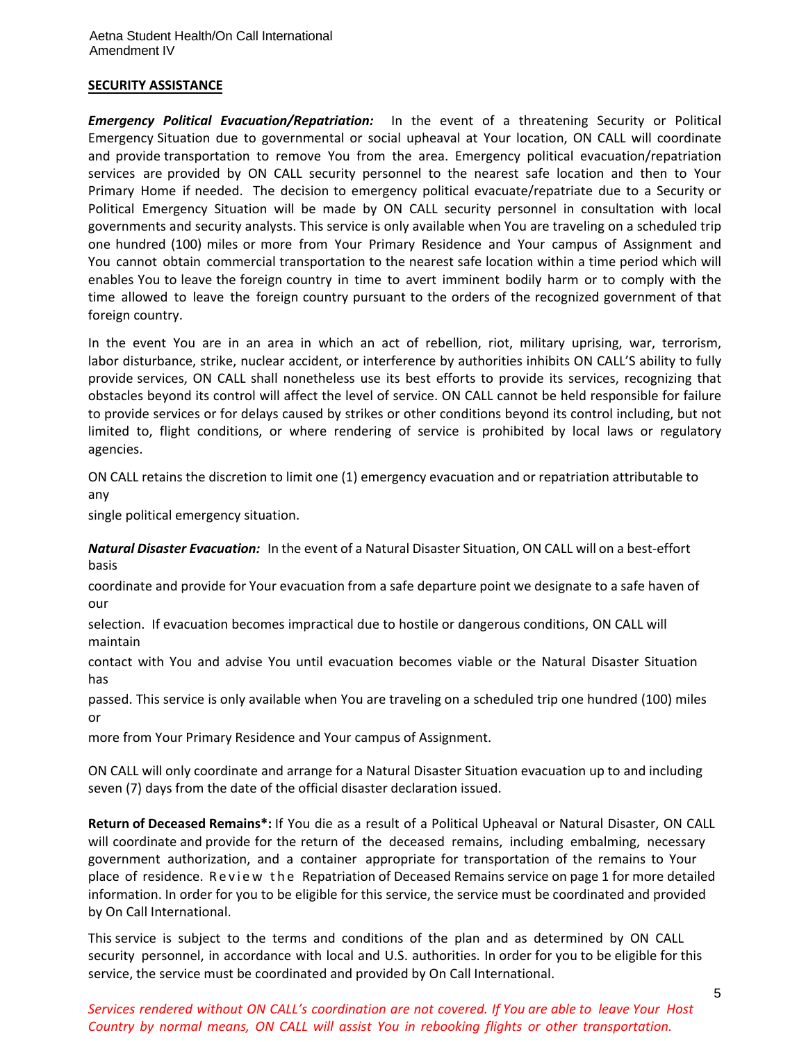#### **SECURITY ASSISTANCE**

*Emergency Political Evacuation/Repatriation:*In the event of a threatening Security or Political Emergency Situation due to governmental or social upheaval at Your location, ON CALL will coordinate and provide transportation to remove You from the area. Emergency political evacuation/repatriation services are provided by ON CALL security personnel to the nearest safe location and then to Your Primary Home if needed. The decision to emergency political evacuate/repatriate due to a Security or Political Emergency Situation will be made by ON CALL security personnel in consultation with local governments and security analysts. This service is only available when You are traveling on a scheduled trip one hundred (100) miles or more from Your Primary Residence and Your campus of Assignment and You cannot obtain commercial transportation to the nearest safe location within a time period which will enables You to leave the foreign country in time to avert imminent bodily harm or to comply with the time allowed to leave the foreign country pursuant to the orders of the recognized government of that foreign country.

In the event You are in an area in which an act of rebellion, riot, military uprising, war, terrorism, labor disturbance, strike, nuclear accident, or interference by authorities inhibits ON CALL'S ability to fully provide services, ON CALL shall nonetheless use its best efforts to provide its services, recognizing that obstacles beyond its control will affect the level of service. ON CALL cannot be held responsible for failure to provide services or for delays caused by strikes or other conditions beyond its control including, but not limited to, flight conditions, or where rendering of service is prohibited by local laws or regulatory agencies.

ON CALL retains the discretion to limit one (1) emergency evacuation and or repatriation attributable to any

single political emergency situation.

*Natural Disaster Evacuation:* In the event of a Natural Disaster Situation, ON CALL will on a best-effort basis

coordinate and provide for Your evacuation from a safe departure point we designate to a safe haven of our

selection. If evacuation becomes impractical due to hostile or dangerous conditions, ON CALL will maintain

contact with You and advise You until evacuation becomes viable or the Natural Disaster Situation has

passed. This service is only available when You are traveling on a scheduled trip one hundred (100) miles or

more from Your Primary Residence and Your campus of Assignment.

ON CALL will only coordinate and arrange for a Natural Disaster Situation evacuation up to and including seven (7) days from the date of the official disaster declaration issued.

**Return of Deceased Remains\*:** If You die as a result of a Political Upheaval or Natural Disaster, ON CALL will coordinate and provide for the return of the deceased remains, including embalming, necessary government authorization, and a container appropriate for transportation of the remains to Your place of residence. Review the Repatriation of Deceased Remains service on page 1 for more detailed information. In order for you to be eligible for this service, the service must be coordinated and provided by On Call International.

This service is subject to the terms and conditions of the plan and as determined by ON CALL security personnel, in accordance with local and U.S. authorities. In order for you to be eligible for this service, the service must be coordinated and provided by On Call International.

*Services rendered without ON CALL's coordination are not covered. If You are able to leave Your Host Country by normal means, ON CALL will assist You in rebooking flights or other transportation.*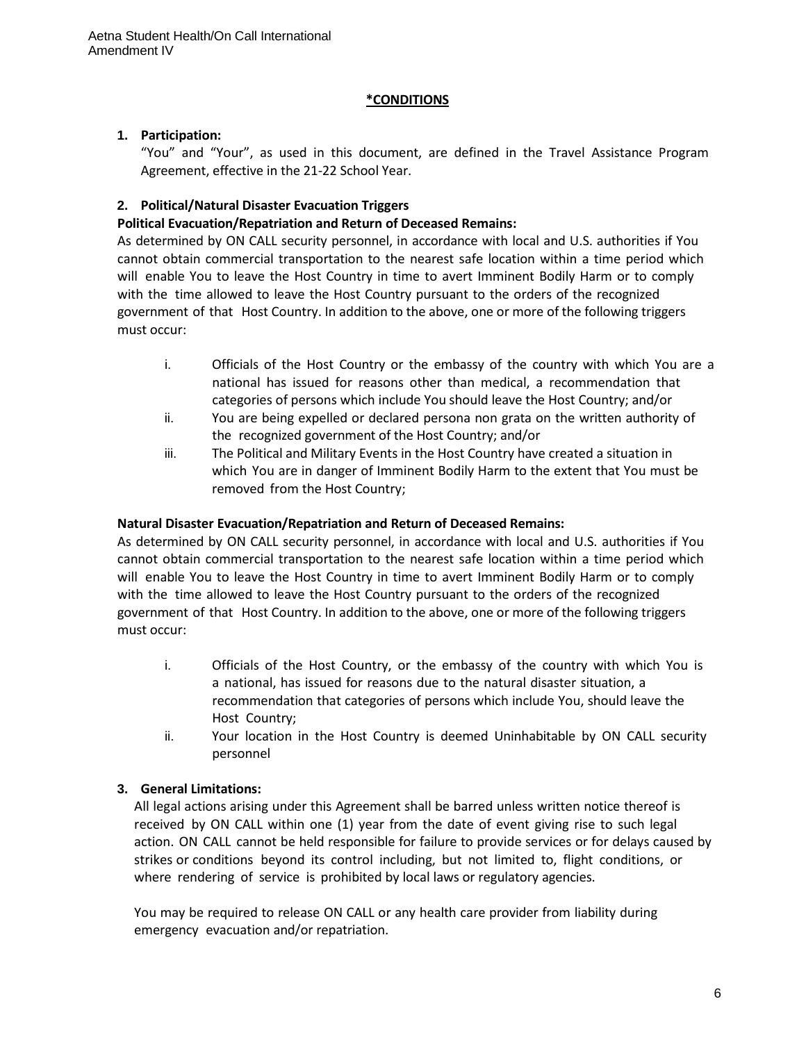## **\*CONDITIONS**

# **1. Participation:**

"You" and "Your", as used in this document, are defined in the Travel Assistance Program Agreement, effective in the 21-22 School Year.

# **2. Political/Natural Disaster Evacuation Triggers**

## **Political Evacuation/Repatriation and Return of Deceased Remains:**

As determined by ON CALL security personnel, in accordance with local and U.S. authorities if You cannot obtain commercial transportation to the nearest safe location within a time period which will enable You to leave the Host Country in time to avert Imminent Bodily Harm or to comply with the time allowed to leave the Host Country pursuant to the orders of the recognized government of that Host Country. In addition to the above, one or more of the following triggers must occur:

- i. Officials of the Host Country or the embassy of the country with which You are a national has issued for reasons other than medical, a recommendation that categories of persons which include You should leave the Host Country; and/or
- ii. You are being expelled or declared persona non grata on the written authority of the recognized government of the Host Country; and/or
- iii. The Political and Military Events in the Host Country have created a situation in which You are in danger of Imminent Bodily Harm to the extent that You must be removed from the Host Country;

## **Natural Disaster Evacuation/Repatriation and Return of Deceased Remains:**

As determined by ON CALL security personnel, in accordance with local and U.S. authorities if You cannot obtain commercial transportation to the nearest safe location within a time period which will enable You to leave the Host Country in time to avert Imminent Bodily Harm or to comply with the time allowed to leave the Host Country pursuant to the orders of the recognized government of that Host Country. In addition to the above, one or more of the following triggers must occur:

- i. Officials of the Host Country, or the embassy of the country with which You is a national, has issued for reasons due to the natural disaster situation, a recommendation that categories of persons which include You, should leave the Host Country;
- ii. Your location in the Host Country is deemed Uninhabitable by ON CALL security personnel

# **3. General Limitations:**

All legal actions arising under this Agreement shall be barred unless written notice thereof is received by ON CALL within one (1) year from the date of event giving rise to such legal action. ON CALL cannot be held responsible for failure to provide services or for delays caused by strikes or conditions beyond its control including, but not limited to, flight conditions, or where rendering of service is prohibited by local laws or regulatory agencies.

You may be required to release ON CALL or any health care provider from liability during emergency evacuation and/or repatriation.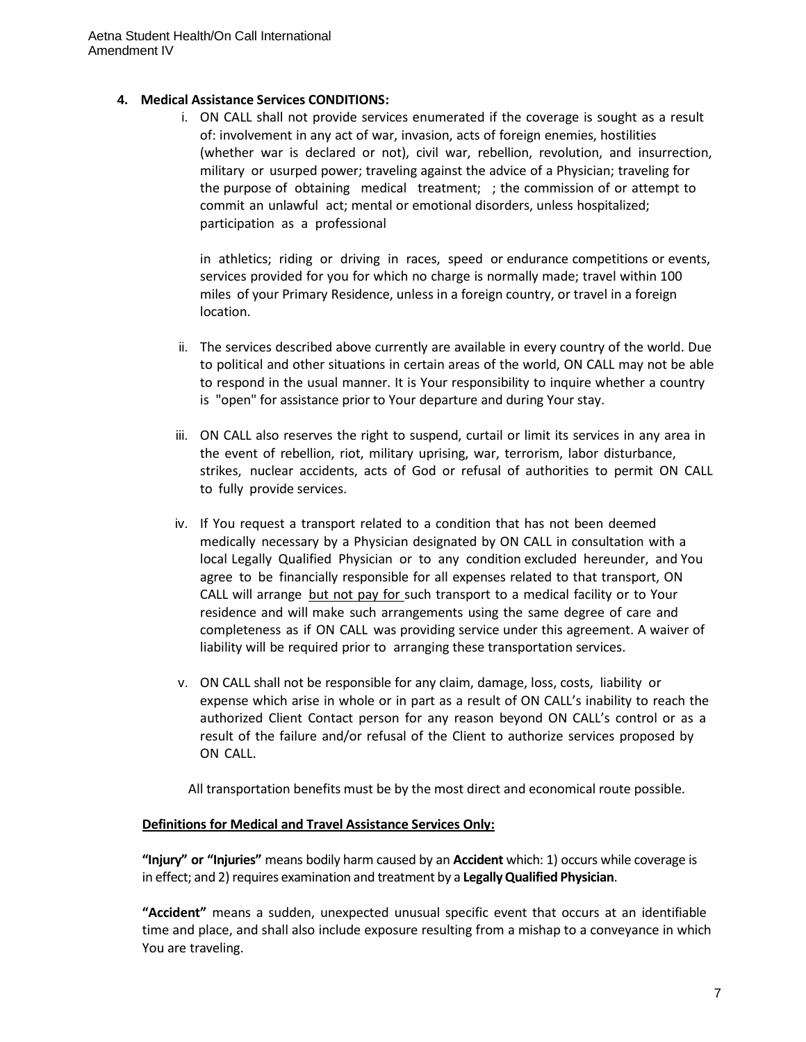## **4. Medical Assistance Services CONDITIONS:**

i. ON CALL shall not provide services enumerated if the coverage is sought as a result of: involvement in any act of war, invasion, acts of foreign enemies, hostilities (whether war is declared or not), civil war, rebellion, revolution, and insurrection, military or usurped power; traveling against the advice of a Physician; traveling for the purpose of obtaining medical treatment; ; the commission of or attempt to commit an unlawful act; mental or emotional disorders, unless hospitalized; participation as a professional

in athletics; riding or driving in races, speed or endurance competitions or events, services provided for you for which no charge is normally made; travel within 100 miles of your Primary Residence, unless in a foreign country, or travel in a foreign location.

- ii. The services described above currently are available in every country of the world. Due to political and other situations in certain areas of the world, ON CALL may not be able to respond in the usual manner. It is Your responsibility to inquire whether a country is "open" for assistance prior to Your departure and during Your stay.
- iii. ON CALL also reserves the right to suspend, curtail or limit its services in any area in the event of rebellion, riot, military uprising, war, terrorism, labor disturbance, strikes, nuclear accidents, acts of God or refusal of authorities to permit ON CALL to fully provide services.
- iv. If You request a transport related to a condition that has not been deemed medically necessary by a Physician designated by ON CALL in consultation with a local Legally Qualified Physician or to any condition excluded hereunder, and You agree to be financially responsible for all expenses related to that transport, ON CALL will arrange but not pay for such transport to a medical facility or to Your residence and will make such arrangements using the same degree of care and completeness as if ON CALL was providing service under this agreement. A waiver of liability will be required prior to arranging these transportation services.
- v. ON CALL shall not be responsible for any claim, damage, loss, costs, liability or expense which arise in whole or in part as a result of ON CALL's inability to reach the authorized Client Contact person for any reason beyond ON CALL's control or as a result of the failure and/or refusal of the Client to authorize services proposed by ON CALL.

All transportation benefits must be by the most direct and economical route possible.

## **Definitions for Medical and Travel Assistance Services Only:**

**"Injury" or "Injuries"** means bodily harm caused by an **Accident** which: 1) occurs while coverage is in effect; and 2) requires examination and treatment by a **LegallyQualified Physician**.

**"Accident"** means a sudden, unexpected unusual specific event that occurs at an identifiable time and place, and shall also include exposure resulting from a mishap to a conveyance in which You are traveling.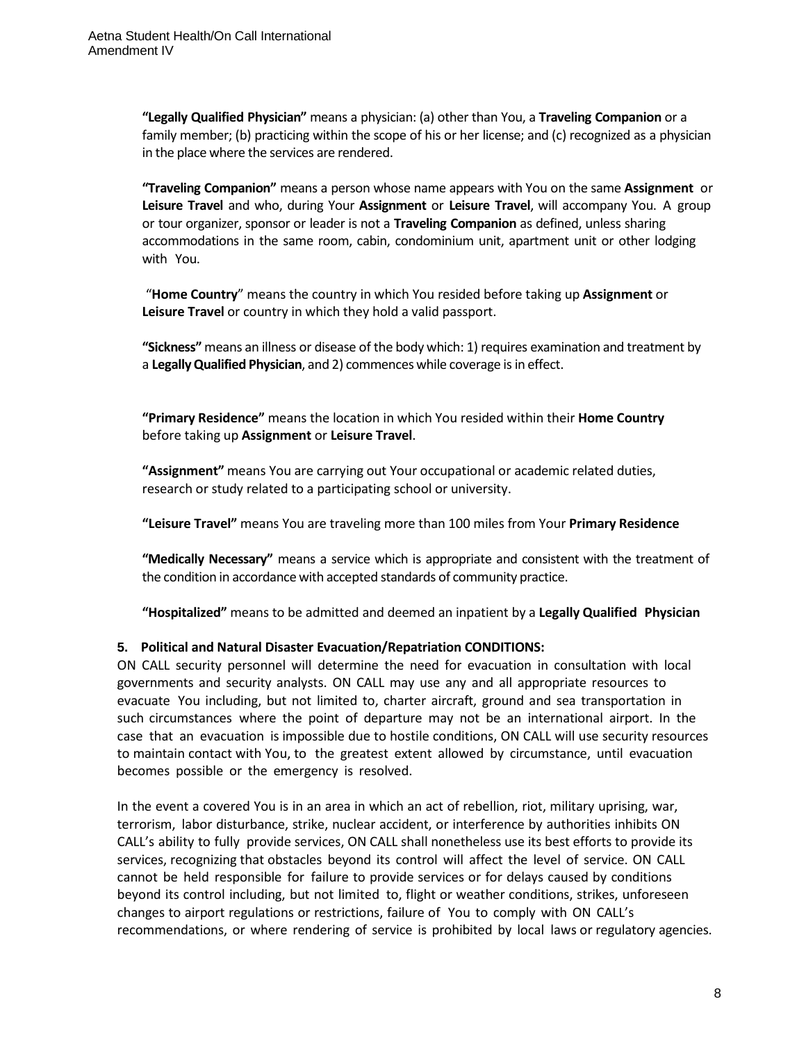**"Legally Qualified Physician"** means a physician: (a) other than You, a **Traveling Companion** or a family member; (b) practicing within the scope of his or her license; and (c) recognized as a physician in the place where the services are rendered.

**"Traveling Companion"** means a person whose name appears with You on the same **Assignment** or **Leisure Travel** and who, during Your **Assignment** or **Leisure Travel**, will accompany You. A group or tour organizer, sponsor or leader is not a **Traveling Companion** as defined, unless sharing accommodations in the same room, cabin, condominium unit, apartment unit or other lodging with You.

"**Home Country**" means the country in which You resided before taking up **Assignment** or **Leisure Travel** or country in which they hold a valid passport.

**"Sickness"** means an illness or disease of the body which: 1) requires examination and treatment by a **LegallyQualified Physician**, and 2) commences while coverage isin effect.

**"Primary Residence"** means the location in which You resided within their **Home Country** before taking up **Assignment** or **Leisure Travel**.

**"Assignment"** means You are carrying out Your occupational or academic related duties, research or study related to a participating school or university.

**"Leisure Travel"** means You are traveling more than 100 miles from Your **Primary Residence**

**"Medically Necessary"** means a service which is appropriate and consistent with the treatment of the condition in accordance with accepted standards of community practice.

**"Hospitalized"** means to be admitted and deemed an inpatient by a **Legally Qualified Physician**

## **5. Political and Natural Disaster Evacuation/Repatriation CONDITIONS:**

ON CALL security personnel will determine the need for evacuation in consultation with local governments and security analysts. ON CALL may use any and all appropriate resources to evacuate You including, but not limited to, charter aircraft, ground and sea transportation in such circumstances where the point of departure may not be an international airport. In the case that an evacuation is impossible due to hostile conditions, ON CALL will use security resources to maintain contact with You, to the greatest extent allowed by circumstance, until evacuation becomes possible or the emergency is resolved.

In the event a covered You is in an area in which an act of rebellion, riot, military uprising, war, terrorism, labor disturbance, strike, nuclear accident, or interference by authorities inhibits ON CALL's ability to fully provide services, ON CALL shall nonetheless use its best efforts to provide its services, recognizing that obstacles beyond its control will affect the level of service. ON CALL cannot be held responsible for failure to provide services or for delays caused by conditions beyond its control including, but not limited to, flight or weather conditions, strikes, unforeseen changes to airport regulations or restrictions, failure of You to comply with ON CALL's recommendations, or where rendering of service is prohibited by local laws or regulatory agencies.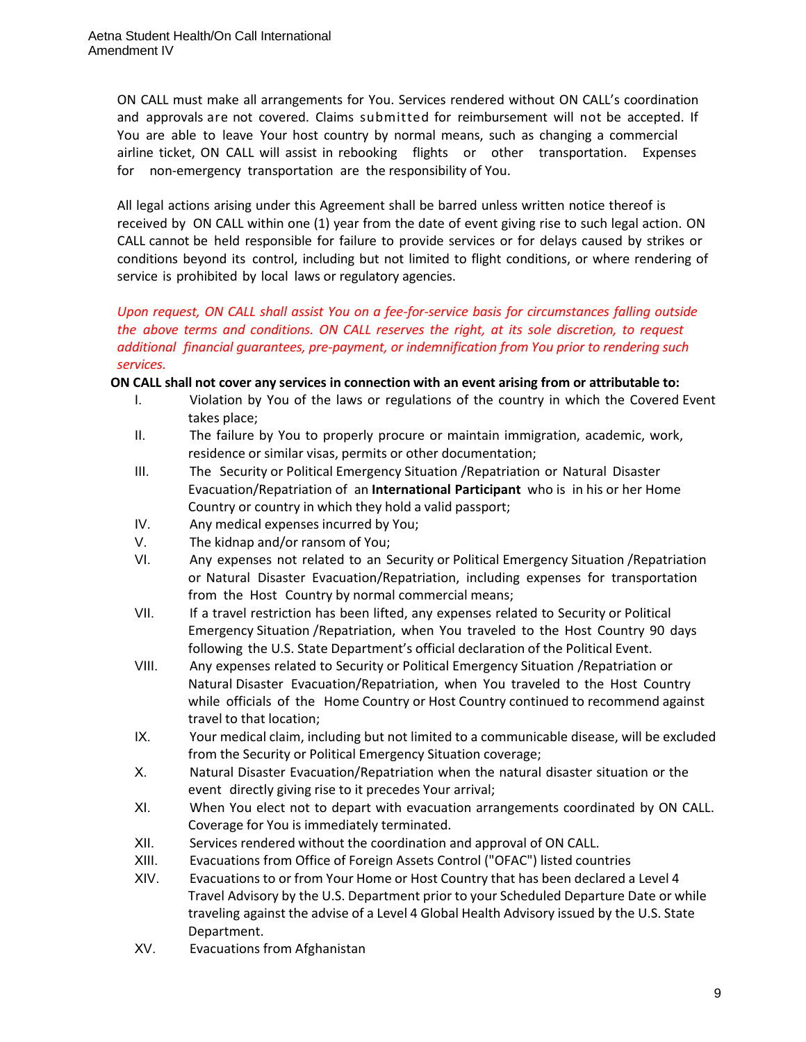ON CALL must make all arrangements for You. Services rendered without ON CALL's coordination and approvals are not covered. Claims submitted for reimbursement will not be accepted. If You are able to leave Your host country by normal means, such as changing a commercial airline ticket, ON CALL will assist in rebooking flights or other transportation. Expenses for non-emergency transportation are the responsibility of You.

All legal actions arising under this Agreement shall be barred unless written notice thereof is received by ON CALL within one (1) year from the date of event giving rise to such legal action. ON CALL cannot be held responsible for failure to provide services or for delays caused by strikes or conditions beyond its control, including but not limited to flight conditions, or where rendering of service is prohibited by local laws or regulatory agencies.

# *Upon request, ON CALL shall assist You on a fee-for-service basis for circumstances falling outside the above terms and conditions. ON CALL reserves the right, at its sole discretion, to request additional financial guarantees, pre-payment, or indemnification from You prior to rendering such services.*

## **ON CALL shall not cover any services in connection with an event arising from or attributable to:**

- I. Violation by You of the laws or regulations of the country in which the Covered Event takes place;
- II. The failure by You to properly procure or maintain immigration, academic, work, residence or similar visas, permits or other documentation;
- III. The Security or Political Emergency Situation /Repatriation or Natural Disaster Evacuation/Repatriation of an **International Participant** who is in his or her Home Country or country in which they hold a valid passport;
- IV. Any medical expenses incurred by You;
- V. The kidnap and/or ransom of You;
- VI. Any expenses not related to an Security or Political Emergency Situation /Repatriation or Natural Disaster Evacuation/Repatriation, including expenses for transportation from the Host Country by normal commercial means;
- VII. If a travel restriction has been lifted, any expenses related to Security or Political Emergency Situation /Repatriation, when You traveled to the Host Country 90 days following the U.S. State Department's official declaration of the Political Event.
- VIII. Any expenses related to Security or Political Emergency Situation /Repatriation or Natural Disaster Evacuation/Repatriation, when You traveled to the Host Country while officials of the Home Country or Host Country continued to recommend against travel to that location;
- IX. Your medical claim, including but not limited to a communicable disease, will be excluded from the Security or Political Emergency Situation coverage;
- X. Natural Disaster Evacuation/Repatriation when the natural disaster situation or the event directly giving rise to it precedes Your arrival;
- XI. When You elect not to depart with evacuation arrangements coordinated by ON CALL. Coverage for You is immediately terminated.
- XII. Services rendered without the coordination and approval of ON CALL.
- XIII. Evacuations from Office of Foreign Assets Control ("OFAC") listed countries
- XIV. Evacuations to or from Your Home or Host Country that has been declared a Level 4 Travel Advisory by the U.S. Department prior to your Scheduled Departure Date or while traveling against the advise of a Level 4 Global Health Advisory issued by the U.S. State Department.
- XV. Evacuations from Afghanistan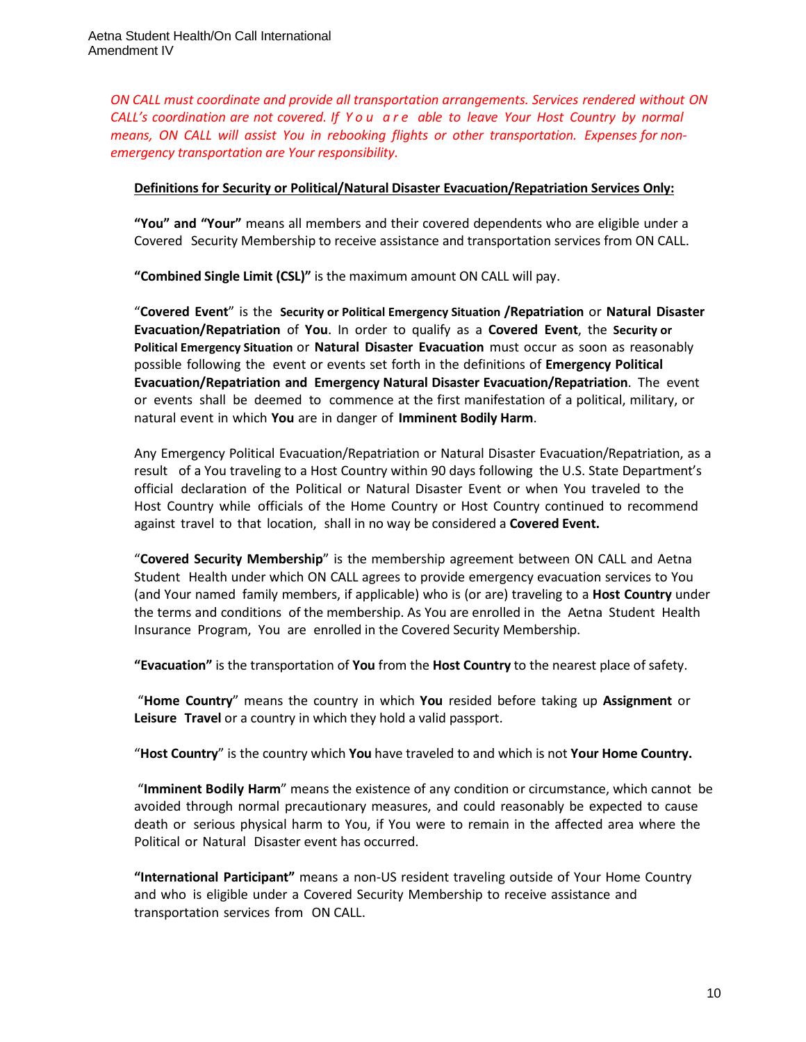*ON CALL must coordinate and provide all transportation arrangements. Services rendered without ON CALL's coordination are not covered. If Y o u a r e able to leave Your Host Country by normal means, ON CALL will assist You in rebooking flights or other transportation. Expenses for nonemergency transportation are Your responsibility.*

## **Definitions for Security or Political/Natural Disaster Evacuation/Repatriation Services Only:**

**"You" and "Your"** means all members and their covered dependents who are eligible under a Covered Security Membership to receive assistance and transportation services from ON CALL.

**"Combined Single Limit (CSL)"** is the maximum amount ON CALL will pay.

"**Covered Event**" is the **Security or Political Emergency Situation /Repatriation** or **Natural Disaster Evacuation/Repatriation** of **You**. In order to qualify as a **Covered Event**, the **Security or Political Emergency Situation** or **Natural Disaster Evacuation** must occur as soon as reasonably possible following the event or events set forth in the definitions of **Emergency Political Evacuation/Repatriation and Emergency Natural Disaster Evacuation/Repatriation**. The event or events shall be deemed to commence at the first manifestation of a political, military, or natural event in which **You** are in danger of **Imminent Bodily Harm**.

Any Emergency Political Evacuation/Repatriation or Natural Disaster Evacuation/Repatriation, as a result of a You traveling to a Host Country within 90 days following the U.S. State Department's official declaration of the Political or Natural Disaster Event or when You traveled to the Host Country while officials of the Home Country or Host Country continued to recommend against travel to that location, shall in no way be considered a **Covered Event.**

"**Covered Security Membership**" is the membership agreement between ON CALL and Aetna Student Health under which ON CALL agrees to provide emergency evacuation services to You (and Your named family members, if applicable) who is (or are) traveling to a **Host Country** under the terms and conditions of the membership. As You are enrolled in the Aetna Student Health Insurance Program, You are enrolled in the Covered Security Membership.

**"Evacuation"** is the transportation of **You** from the **Host Country** to the nearest place of safety.

"**Home Country**" means the country in which **You** resided before taking up **Assignment** or **Leisure Travel** or a country in which they hold a valid passport.

"**Host Country**" is the country which **You** have traveled to and which is not **Your Home Country.**

"**Imminent Bodily Harm**" means the existence of any condition or circumstance, which cannot be avoided through normal precautionary measures, and could reasonably be expected to cause death or serious physical harm to You, if You were to remain in the affected area where the Political or Natural Disaster event has occurred.

**"International Participant"** means a non-US resident traveling outside of Your Home Country and who is eligible under a Covered Security Membership to receive assistance and transportation services from ON CALL.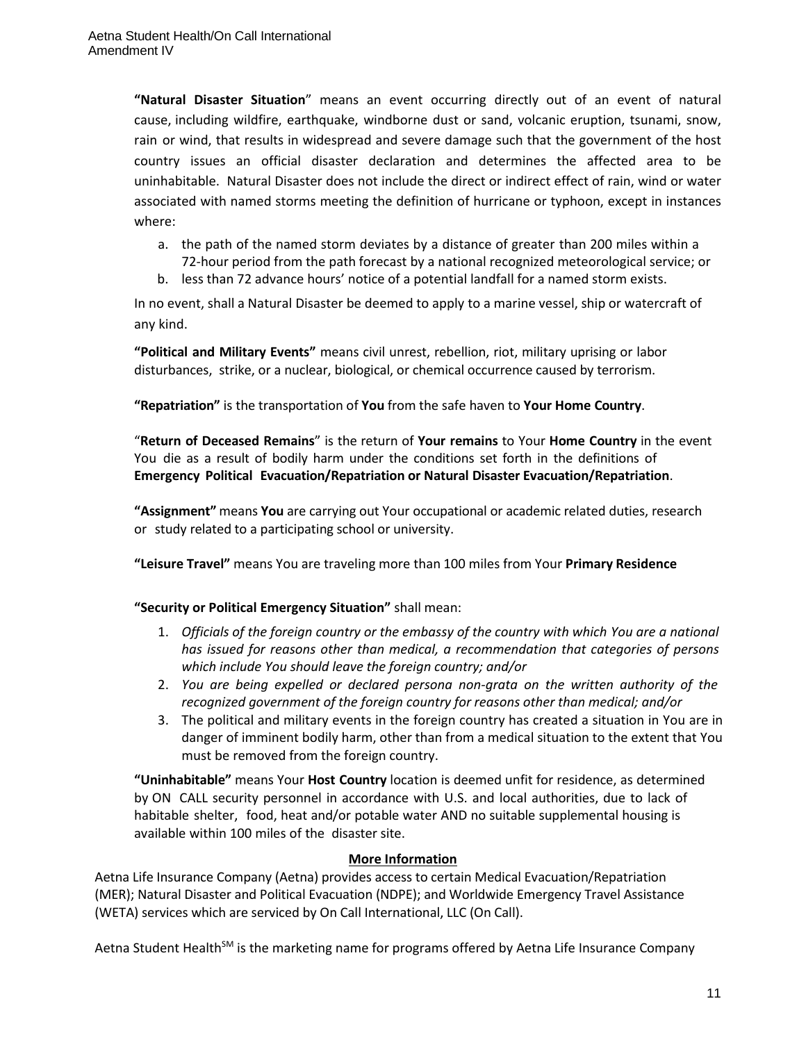**"Natural Disaster Situation**" means an event occurring directly out of an event of natural cause, including wildfire, earthquake, windborne dust or sand, volcanic eruption, tsunami, snow, rain or wind, that results in widespread and severe damage such that the government of the host country issues an official disaster declaration and determines the affected area to be uninhabitable. Natural Disaster does not include the direct or indirect effect of rain, wind or water associated with named storms meeting the definition of hurricane or typhoon, except in instances where:

- a. the path of the named storm deviates by a distance of greater than 200 miles within a
- 72-hour period from the path forecast by a national recognized meteorological service; or
- b. less than 72 advance hours' notice of a potential landfall for a named storm exists.

In no event, shall a Natural Disaster be deemed to apply to a marine vessel, ship or watercraft of any kind.

**"Political and Military Events"** means civil unrest, rebellion, riot, military uprising or labor disturbances, strike, or a nuclear, biological, or chemical occurrence caused by terrorism.

**"Repatriation"** is the transportation of **You** from the safe haven to **Your Home Country**.

"**Return of Deceased Remains**" is the return of **Your remains** to Your **Home Country** in the event You die as a result of bodily harm under the conditions set forth in the definitions of **Emergency Political Evacuation/Repatriation or Natural Disaster Evacuation/Repatriation**.

**"Assignment"** means **You** are carrying out Your occupational or academic related duties, research or study related to a participating school or university.

**"Leisure Travel"** means You are traveling more than 100 miles from Your **Primary Residence**

## **"Security or Political Emergency Situation"** shall mean:

- 1. *Officials of the foreign country or the embassy of the country with which You are a national has issued for reasons other than medical, a recommendation that categories of persons which include You should leave the foreign country; and/or*
- 2. *You are being expelled or declared persona non-grata on the written authority of the recognized government of the foreign country for reasons other than medical; and/or*
- 3. The political and military events in the foreign country has created a situation in You are in danger of imminent bodily harm, other than from a medical situation to the extent that You must be removed from the foreign country.

**"Uninhabitable"** means Your **Host Country** location is deemed unfit for residence, as determined by ON CALL security personnel in accordance with U.S. and local authorities, due to lack of habitable shelter, food, heat and/or potable water AND no suitable supplemental housing is available within 100 miles of the disaster site.

## **More Information**

Aetna Life Insurance Company (Aetna) provides access to certain Medical Evacuation/Repatriation (MER); Natural Disaster and Political Evacuation (NDPE); and Worldwide Emergency Travel Assistance (WETA) services which are serviced by On Call International, LLC (On Call).

Aetna Student Health<sup>SM</sup> is the marketing name for programs offered by Aetna Life Insurance Company